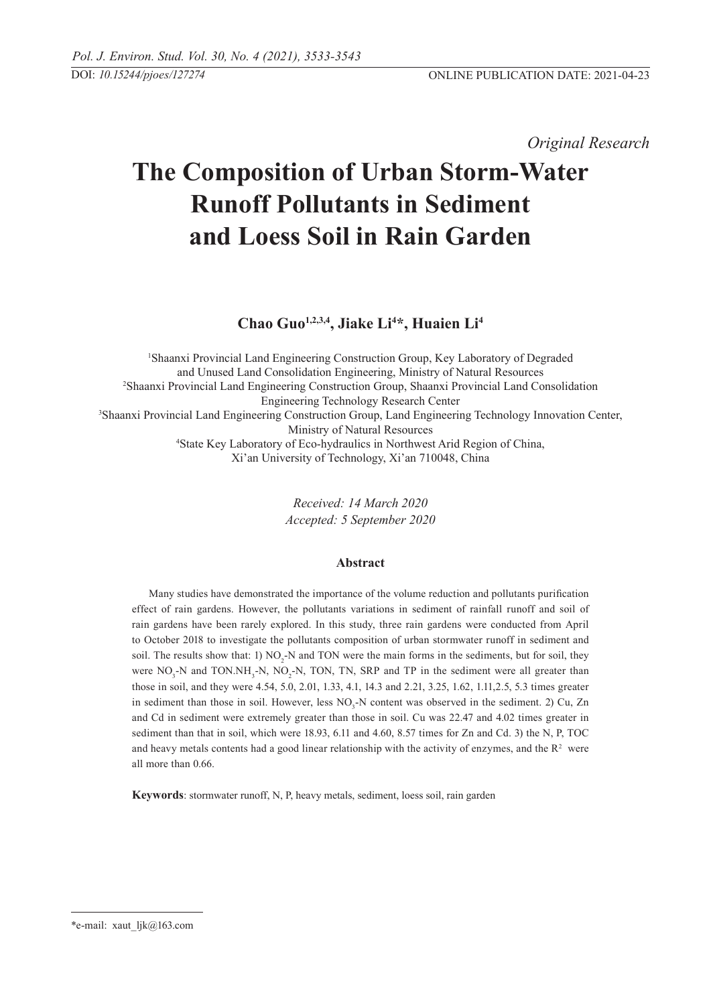*Original Research* 

# **The Composition of Urban Storm-water Runoff Pollutants in Sediment and Loess Soil in Rain Garden**

**Chao Guo1,2,3,4, Jiake Li4 \*, Huaien Li4**

<sup>1</sup>Shaanxi Provincial Land Engineering Construction Group, Key Laboratory of Degraded and Unused Land Consolidation Engineering, Ministry of Natural Resources 2 Shaanxi Provincial Land Engineering Construction Group, Shaanxi Provincial Land Consolidation Engineering Technology Research Center 3 Shaanxi Provincial Land Engineering Construction Group, Land Engineering Technology Innovation Center, Ministry of Natural Resources 4 State Key Laboratory of Eco-hydraulics in Northwest Arid Region of China, Xi'an University of Technology, Xi'an 710048, China

> *Received: 14 March 2020 Accepted: 5 September 2020*

# **Abstract**

Many studies have demonstrated the importance of the volume reduction and pollutants purification effect of rain gardens. However, the pollutants variations in sediment of rainfall runoff and soil of rain gardens have been rarely explored. In this study, three rain gardens were conducted from April to October 2018 to investigate the pollutants composition of urban stormwater runoff in sediment and soil. The results show that: 1)  $NO<sub>2</sub>$ -N and TON were the main forms in the sediments, but for soil, they were  $NO_3$ -N and  $TON.NH_3-N$ ,  $NO_2-N$ , TON, TN, SRP and TP in the sediment were all greater than those in soil, and they were 4.54, 5.0, 2.01, 1.33, 4.1, 14.3 and 2.21, 3.25, 1.62, 1.11,2.5, 5.3 times greater in sediment than those in soil. However, less  $NO<sub>3</sub>$ -N content was observed in the sediment. 2) Cu, Zn and Cd in sediment were extremely greater than those in soil. Cu was 22.47 and 4.02 times greater in sediment than that in soil, which were 18.93, 6.11 and 4.60, 8.57 times for Zn and Cd. 3) the N, P, TOC and heavy metals contents had a good linear relationship with the activity of enzymes, and the  $R<sup>2</sup>$  were all more than 0.66.

**Keywords**: stormwater runoff, N, P, heavy metals, sediment, loess soil, rain garden

<sup>\*</sup>e-mail: xaut\_ljk@163.com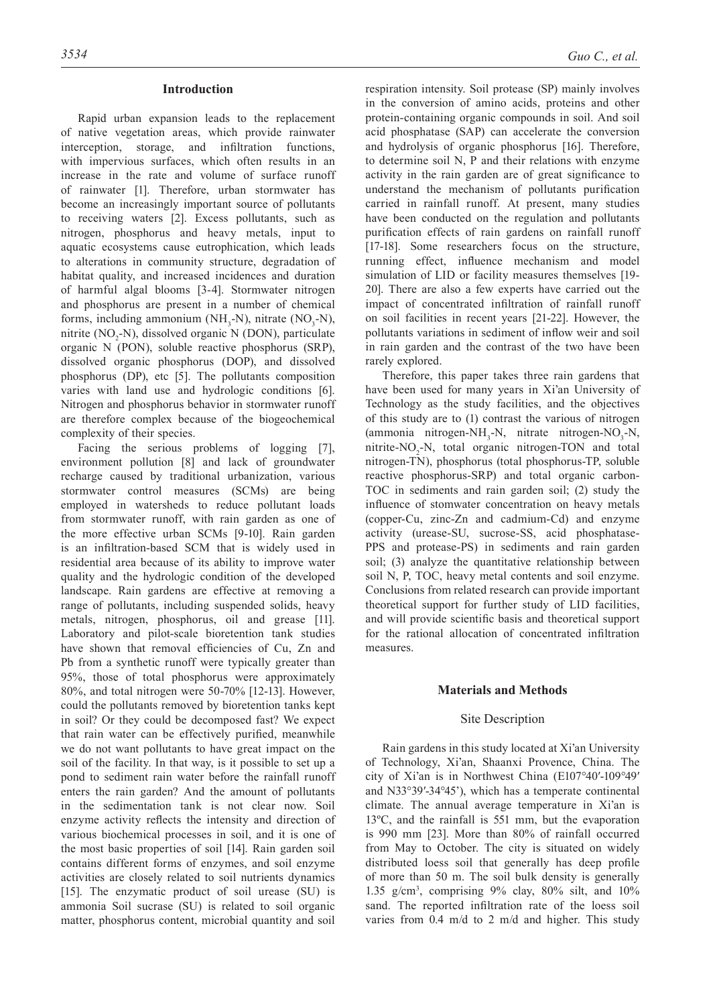#### **Introduction**

Rapid urban expansion leads to the replacement of native vegetation areas, which provide rainwater interception, storage, and infiltration functions, with impervious surfaces, which often results in an increase in the rate and volume of surface runoff of rainwater [1]. Therefore, urban stormwater has become an increasingly important source of pollutants to receiving waters [2]. Excess pollutants, such as nitrogen, phosphorus and heavy metals, input to aquatic ecosystems cause eutrophication, which leads to alterations in community structure, degradation of habitat quality, and increased incidences and duration of harmful algal blooms [3-4]. Stormwater nitrogen and phosphorus are present in a number of chemical forms, including ammonium (NH<sub>3</sub>-N), nitrate (NO<sub>3</sub>-N), nitrite ( $NO<sub>2</sub>-N$ ), dissolved organic N (DON), particulate organic N (PON), soluble reactive phosphorus (SRP), dissolved organic phosphorus (DOP), and dissolved phosphorus (DP), etc [5]. The pollutants composition varies with land use and hydrologic conditions [6]. Nitrogen and phosphorus behavior in stormwater runoff are therefore complex because of the biogeochemical complexity of their species.

Facing the serious problems of logging [7], environment pollution [8] and lack of groundwater recharge caused by traditional urbanization, various stormwater control measures (SCMs) are being employed in watersheds to reduce pollutant loads from stormwater runoff, with rain garden as one of the more effective urban SCMs [9-10]. Rain garden is an infiltration-based SCM that is widely used in residential area because of its ability to improve water quality and the hydrologic condition of the developed landscape. Rain gardens are effective at removing a range of pollutants, including suspended solids, heavy metals, nitrogen, phosphorus, oil and grease [11]. Laboratory and pilot-scale bioretention tank studies have shown that removal efficiencies of Cu, Zn and Pb from a synthetic runoff were typically greater than 95%, those of total phosphorus were approximately 80%, and total nitrogen were 50-70% [12-13]. However, could the pollutants removed by bioretention tanks kept in soil? Or they could be decomposed fast? We expect that rain water can be effectively purified, meanwhile we do not want pollutants to have great impact on the soil of the facility. In that way, is it possible to set up a pond to sediment rain water before the rainfall runoff enters the rain garden? And the amount of pollutants in the sedimentation tank is not clear now. Soil enzyme activity reflects the intensity and direction of various biochemical processes in soil, and it is one of the most basic properties of soil [14]. Rain garden soil contains different forms of enzymes, and soil enzyme activities are closely related to soil nutrients dynamics [15]. The enzymatic product of soil urease (SU) is ammonia Soil sucrase (SU) is related to soil organic matter, phosphorus content, microbial quantity and soil

respiration intensity. Soil protease (SP) mainly involves in the conversion of amino acids, proteins and other protein-containing organic compounds in soil. And soil acid phosphatase (SAP) can accelerate the conversion and hydrolysis of organic phosphorus [16]. Therefore, to determine soil N, P and their relations with enzyme activity in the rain garden are of great significance to understand the mechanism of pollutants purification carried in rainfall runoff. At present, many studies have been conducted on the regulation and pollutants purification effects of rain gardens on rainfall runoff [17-18]. Some researchers focus on the structure, running effect, influence mechanism and model simulation of LID or facility measures themselves [19- 20]. There are also a few experts have carried out the impact of concentrated infiltration of rainfall runoff on soil facilities in recent years [21-22]. However, the pollutants variations in sediment of inflow weir and soil in rain garden and the contrast of the two have been rarely explored.

Therefore, this paper takes three rain gardens that have been used for many years in Xi'an University of Technology as the study facilities, and the objectives of this study are to (1) contrast the various of nitrogen  $(ammonia$  nitrogen-NH<sub>3</sub>-N, nitrate nitrogen-NO<sub>3</sub>-N, nitrite-NO<sub>2</sub>-N, total organic nitrogen-TON and total nitrogen-TN), phosphorus (total phosphorus-TP, soluble reactive phosphorus-SRP) and total organic carbon-TOC in sediments and rain garden soil; (2) study the influence of stomwater concentration on heavy metals (copper-Cu, zinc-Zn and cadmium-Cd) and enzyme activity (urease-SU, sucrose-SS, acid phosphatase-PPS and protease-PS) in sediments and rain garden soil; (3) analyze the quantitative relationship between soil N, P, TOC, heavy metal contents and soil enzyme. Conclusions from related research can provide important theoretical support for further study of LID facilities, and will provide scientific basis and theoretical support for the rational allocation of concentrated infiltration measures.

# **Materials and Methods**

## Site Description

Rain gardens in this study located at Xi'an University of Technology, Xi'an, Shaanxi Provence, China. The city of Xi'an is in Northwest China (E107°40′-109°49′ and N33°39′-34°45'), which has a temperate continental climate. The annual average temperature in Xi'an is 13ºC, and the rainfall is 551 mm, but the evaporation is 990 mm [23]. More than 80% of rainfall occurred from May to October. The city is situated on widely distributed loess soil that generally has deep profile of more than 50 m. The soil bulk density is generally 1.35 g/cm3 , comprising 9% clay, 80% silt, and 10% sand. The reported infiltration rate of the loess soil varies from 0.4 m/d to 2 m/d and higher. This study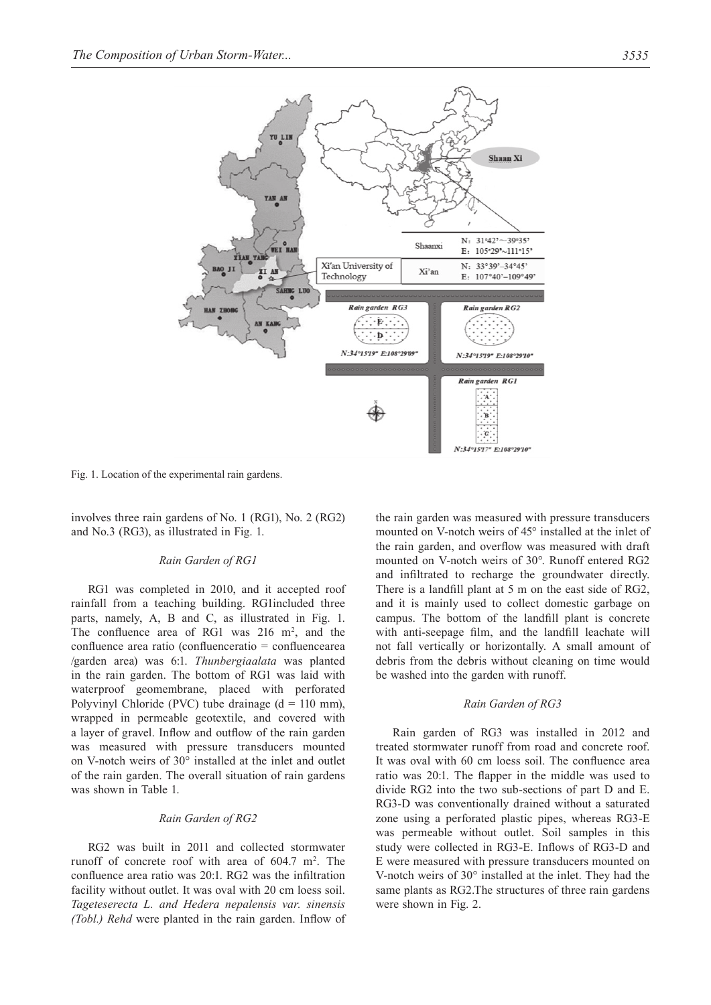

Fig. 1. Location of the experimental rain gardens.

involves three rain gardens of No. 1 (RG1), No. 2 (RG2) and No.3 (RG3), as illustrated in Fig. 1.

## *Rain Garden of RG1*

RG1 was completed in 2010, and it accepted roof rainfall from a teaching building. RG1included three parts, namely, A, B and C, as illustrated in Fig. 1. The confluence area of RG1 was  $216 \text{ m}^2$ , and the confluence area ratio (confluenceratio = confluencearea /garden area) was 6:1. *Thunbergiaalata* was planted in the rain garden. The bottom of RG1 was laid with waterproof geomembrane, placed with perforated Polyvinyl Chloride (PVC) tube drainage  $(d = 110 \text{ mm})$ , wrapped in permeable geotextile, and covered with a layer of gravel. Inflow and outflow of the rain garden was measured with pressure transducers mounted on V-notch weirs of 30° installed at the inlet and outlet of the rain garden. The overall situation of rain gardens was shown in Table 1.

## *Rain Garden of RG2*

RG2 was built in 2011 and collected stormwater runoff of concrete roof with area of  $604.7 \text{ m}^2$ . The confluence area ratio was 20:1. RG2 was the infiltration facility without outlet. It was oval with 20 cm loess soil. *Tageteserecta L. and Hedera nepalensis var. sinensis (Tobl.) Rehd* were planted in the rain garden. Inflow of the rain garden was measured with pressure transducers mounted on V-notch weirs of 45° installed at the inlet of the rain garden, and overflow was measured with draft mounted on V-notch weirs of 30°. Runoff entered RG2 and infiltrated to recharge the groundwater directly. There is a landfill plant at 5 m on the east side of RG2, and it is mainly used to collect domestic garbage on campus. The bottom of the landfill plant is concrete with anti-seepage film, and the landfill leachate will not fall vertically or horizontally. A small amount of debris from the debris without cleaning on time would be washed into the garden with runoff.

#### *Rain Garden of RG3*

Rain garden of RG3 was installed in 2012 and treated stormwater runoff from road and concrete roof. It was oval with 60 cm loess soil. The confluence area ratio was 20:1. The flapper in the middle was used to divide RG2 into the two sub-sections of part D and E. RG3-D was conventionally drained without a saturated zone using a perforated plastic pipes, whereas RG3-E was permeable without outlet. Soil samples in this study were collected in RG3-E. Inflows of RG3-D and E were measured with pressure transducers mounted on V-notch weirs of 30° installed at the inlet. They had the same plants as RG2.The structures of three rain gardens were shown in Fig. 2.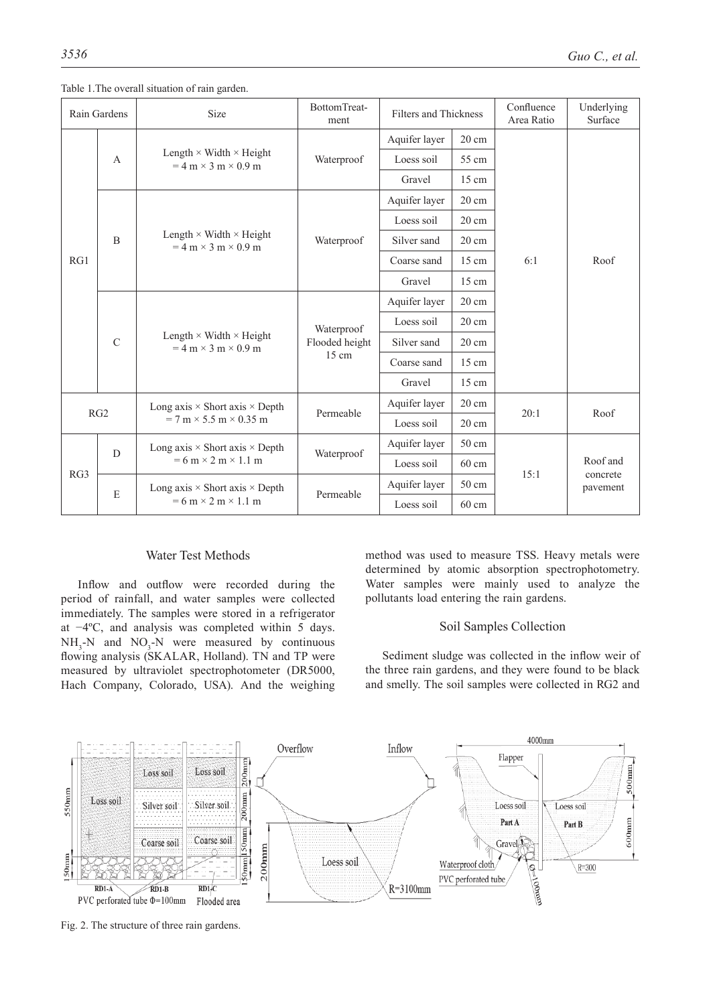| Rain Gardens    |                | <b>Size</b>                                                                                             | BottomTreat-<br>ment                            | <b>Filters and Thickness</b> |                 | Confluence<br>Area Ratio | Underlying<br>Surface            |
|-----------------|----------------|---------------------------------------------------------------------------------------------------------|-------------------------------------------------|------------------------------|-----------------|--------------------------|----------------------------------|
|                 | $\overline{A}$ | Length $\times$ Width $\times$ Height<br>$= 4$ m $\times$ 3 m $\times$ 0.9 m                            | Waterproof                                      | Aquifer layer                | $20 \text{ cm}$ |                          | Roof                             |
|                 |                |                                                                                                         |                                                 | Loess soil                   | 55 cm           |                          |                                  |
|                 |                |                                                                                                         |                                                 | Gravel                       | $15 \text{ cm}$ |                          |                                  |
|                 |                |                                                                                                         | Waterproof                                      | Aquifer layer                | $20 \text{ cm}$ |                          |                                  |
|                 |                | Length $\times$ Width $\times$ Height<br>$= 4$ m $\times$ 3 m $\times$ 0.9 m                            |                                                 | Loess soil                   | $20 \text{ cm}$ | 6:1                      |                                  |
|                 | $\overline{B}$ |                                                                                                         |                                                 | Silver sand                  | $20 \text{ cm}$ |                          |                                  |
| RG1             |                |                                                                                                         |                                                 | Coarse sand                  | $15 \text{ cm}$ |                          |                                  |
|                 |                |                                                                                                         |                                                 | Gravel                       | $15 \text{ cm}$ |                          |                                  |
|                 | $\mathcal{C}$  |                                                                                                         |                                                 | Aquifer layer                | $20 \text{ cm}$ |                          |                                  |
|                 |                | Length $\times$ Width $\times$ Height<br>$= 4$ m $\times$ 3 m $\times$ 0.9 m                            | Waterproof<br>Flooded height<br>$15 \text{ cm}$ | Loess soil                   | $20 \text{ cm}$ |                          |                                  |
|                 |                |                                                                                                         |                                                 | Silver sand                  | $20 \text{ cm}$ |                          |                                  |
|                 |                |                                                                                                         |                                                 | Coarse sand                  | $15 \text{ cm}$ |                          |                                  |
|                 |                |                                                                                                         |                                                 | Gravel                       | $15 \text{ cm}$ |                          |                                  |
| RG <sub>2</sub> |                | Long axis $\times$ Short axis $\times$ Depth                                                            | Permeable                                       | Aquifer layer                | $20 \text{ cm}$ | 20:1                     | Roof                             |
|                 |                | $= 7 \text{ m} \times 5.5 \text{ m} \times 0.35 \text{ m}$                                              |                                                 | Loess soil                   | $20 \text{ cm}$ |                          |                                  |
| RG3             | $\overline{D}$ | Long axis $\times$ Short axis $\times$ Depth<br>$= 6 \text{ m} \times 2 \text{ m} \times 1.1 \text{ m}$ |                                                 | Aquifer layer                | 50 cm           |                          | Roof and<br>concrete<br>pavement |
|                 |                |                                                                                                         | Waterproof                                      | Loess soil                   | $60 \text{ cm}$ |                          |                                  |
|                 | E              | Long axis $\times$ Short axis $\times$ Depth                                                            | Permeable                                       | Aquifer layer                | 50 cm           | 15:1                     |                                  |
|                 |                | $= 6 \text{ m} \times 2 \text{ m} \times 1.1 \text{ m}$                                                 |                                                 | Loess soil                   | 60 cm           |                          |                                  |

Table 1.The overall situation of rain garden.

## Water Test Methods

Inflow and outflow were recorded during the period of rainfall, and water samples were collected immediately. The samples were stored in a refrigerator at −4ºC, and analysis was completed within 5 days.  $NH<sub>3</sub>-N$  and  $NO<sub>3</sub>-N$  were measured by continuous flowing analysis (SKALAR, Holland). TN and TP were measured by ultraviolet spectrophotometer (DR5000, Hach Company, Colorado, USA). And the weighing

method was used to measure TSS. Heavy metals were determined by atomic absorption spectrophotometry. Water samples were mainly used to analyze the pollutants load entering the rain gardens.

# Soil Samples Collection

Sediment sludge was collected in the inflow weir of the three rain gardens, and they were found to be black and smelly. The soil samples were collected in RG2 and



Fig. 2. The structure of three rain gardens.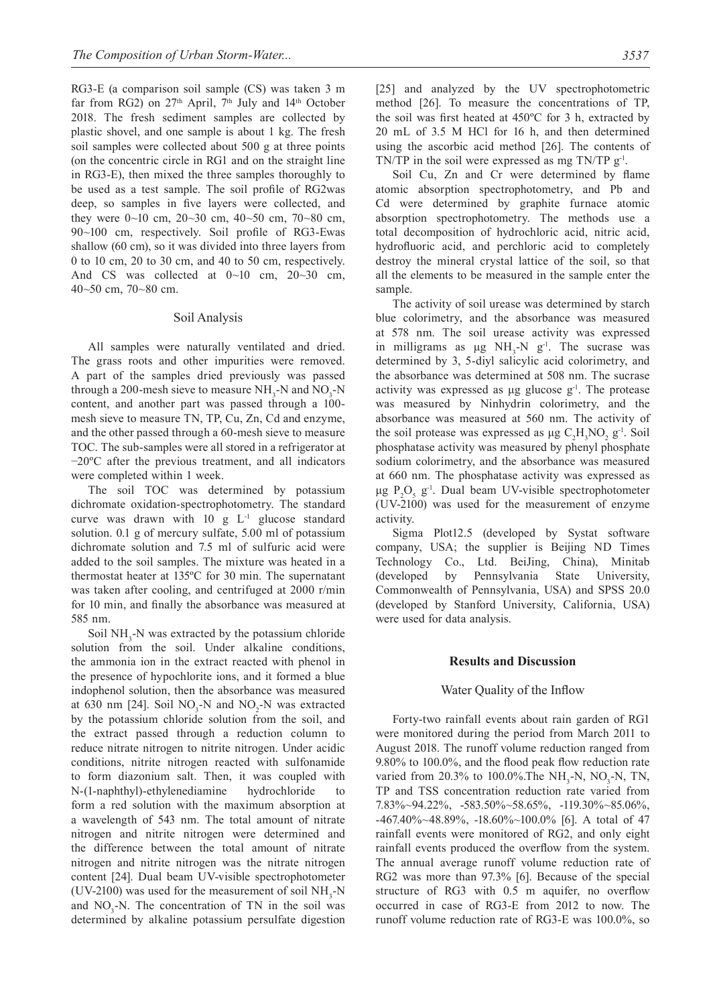RG3-E (a comparison soil sample (CS) was taken 3 m far from RG2) on  $27<sup>th</sup>$  April,  $7<sup>th</sup>$  July and  $14<sup>th</sup>$  October 2018. The fresh sediment samples are collected by plastic shovel, and one sample is about 1 kg. The fresh soil samples were collected about 500 g at three points (on the concentric circle in RG1 and on the straight line in RG3-E), then mixed the three samples thoroughly to be used as a test sample. The soil profile of RG2was deep, so samples in five layers were collected, and they were 0~10 cm, 20~30 cm, 40~50 cm, 70~80 cm, 90~100 cm, respectively. Soil profile of RG3-Ewas shallow (60 cm), so it was divided into three layers from 0 to 10 cm, 20 to 30 cm, and 40 to 50 cm, respectively. And CS was collected at 0~10 cm, 20~30 cm, 40~50 cm, 70~80 cm.

#### Soil Analysis

All samples were naturally ventilated and dried. The grass roots and other impurities were removed. A part of the samples dried previously was passed through a 200-mesh sieve to measure  $NH<sub>3</sub>$ -N and  $NO<sub>3</sub>$ -N content, and another part was passed through a 100 mesh sieve to measure TN, TP, Cu, Zn, Cd and enzyme, and the other passed through a 60-mesh sieve to measure TOC. The sub-samples were all stored in a refrigerator at −20ºC after the previous treatment, and all indicators were completed within 1 week.

The soil TOC was determined by potassium dichromate oxidation-spectrophotometry. The standard curve was drawn with  $10 \text{ g L}^{-1}$  glucose standard solution. 0.1 g of mercury sulfate, 5.00 ml of potassium dichromate solution and 7.5 ml of sulfuric acid were added to the soil samples. The mixture was heated in a thermostat heater at 135ºC for 30 min. The supernatant was taken after cooling, and centrifuged at 2000 r/min for 10 min, and finally the absorbance was measured at 585 nm.

Soil  $NH<sub>3</sub>-N$  was extracted by the potassium chloride solution from the soil. Under alkaline conditions, the ammonia ion in the extract reacted with phenol in the presence of hypochlorite ions, and it formed a blue indophenol solution, then the absorbance was measured at 630 nm [24]. Soil  $NO_3$ -N and  $NO_2$ -N was extracted by the potassium chloride solution from the soil, and the extract passed through a reduction column to reduce nitrate nitrogen to nitrite nitrogen. Under acidic conditions, nitrite nitrogen reacted with sulfonamide to form diazonium salt. Then, it was coupled with N-(1-naphthyl)-ethylenediamine hydrochloride to form a red solution with the maximum absorption at a wavelength of 543 nm. The total amount of nitrate nitrogen and nitrite nitrogen were determined and the difference between the total amount of nitrate nitrogen and nitrite nitrogen was the nitrate nitrogen content [24]. Dual beam UV-visible spectrophotometer (UV-2100) was used for the measurement of soil  $NH<sub>3</sub>-N$ and  $NO_3$ -N. The concentration of TN in the soil was determined by alkaline potassium persulfate digestion

[25] and analyzed by the UV spectrophotometric method [26]. To measure the concentrations of TP, the soil was first heated at 450ºC for 3 h, extracted by 20 mL of 3.5 M HCl for 16 h, and then determined using the ascorbic acid method [26]. The contents of TN/TP in the soil were expressed as mg TN/TP  $g^{-1}$ .

Soil Cu, Zn and Cr were determined by flame atomic absorption spectrophotometry, and Pb and Cd were determined by graphite furnace atomic absorption spectrophotometry. The methods use a total decomposition of hydrochloric acid, nitric acid, hydrofluoric acid, and perchloric acid to completely destroy the mineral crystal lattice of the soil, so that all the elements to be measured in the sample enter the sample.

The activity of soil urease was determined by starch blue colorimetry, and the absorbance was measured at 578 nm. The soil urease activity was expressed in milligrams as  $\mu$ g NH<sub>3</sub>-N g<sup>-1</sup>. The sucrase was determined by 3, 5-diyl salicylic acid colorimetry, and the absorbance was determined at 508 nm. The sucrase activity was expressed as  $\mu$ g glucose g<sup>-1</sup>. The protease was measured by Ninhydrin colorimetry, and the absorbance was measured at 560 nm. The activity of the soil protease was expressed as  $\mu$ g C<sub>2</sub>H<sub>3</sub>NO<sub>2</sub> g<sup>-1</sup>. Soil phosphatase activity was measured by phenyl phosphate sodium colorimetry, and the absorbance was measured at 660 nm. The phosphatase activity was expressed as μg  $P_2O_5$  g<sup>-1</sup>. Dual beam UV-visible spectrophotometer (UV-2100) was used for the measurement of enzyme activity.

Sigma Plot12.5 (developed by Systat software company, USA; the supplier is Beijing ND Times Technology Co., Ltd. BeiJing, China), Minitab (developed by Pennsylvania State University, Commonwealth of Pennsylvania, USA) and SPSS 20.0 (developed by Stanford University, California, USA) were used for data analysis.

## **Results and Discussion**

## Water Quality of the Inflow

Forty-two rainfall events about rain garden of RG1 were monitored during the period from March 2011 to August 2018. The runoff volume reduction ranged from 9.80% to 100.0%, and the flood peak flow reduction rate varied from 20.3% to 100.0%. The NH<sub>3</sub>-N, NO<sub>3</sub>-N, TN, TP and TSS concentration reduction rate varied from 7.83%~94.22%, -583.50%~58.65%, -119.30%~85.06%, -467.40%~48.89%, -18.60%~100.0% [6]. A total of 47 rainfall events were monitored of RG2, and only eight rainfall events produced the overflow from the system. The annual average runoff volume reduction rate of RG2 was more than 97.3% [6]. Because of the special structure of RG3 with 0.5 m aquifer, no overflow occurred in case of RG3-E from 2012 to now. The runoff volume reduction rate of RG3-E was 100.0%, so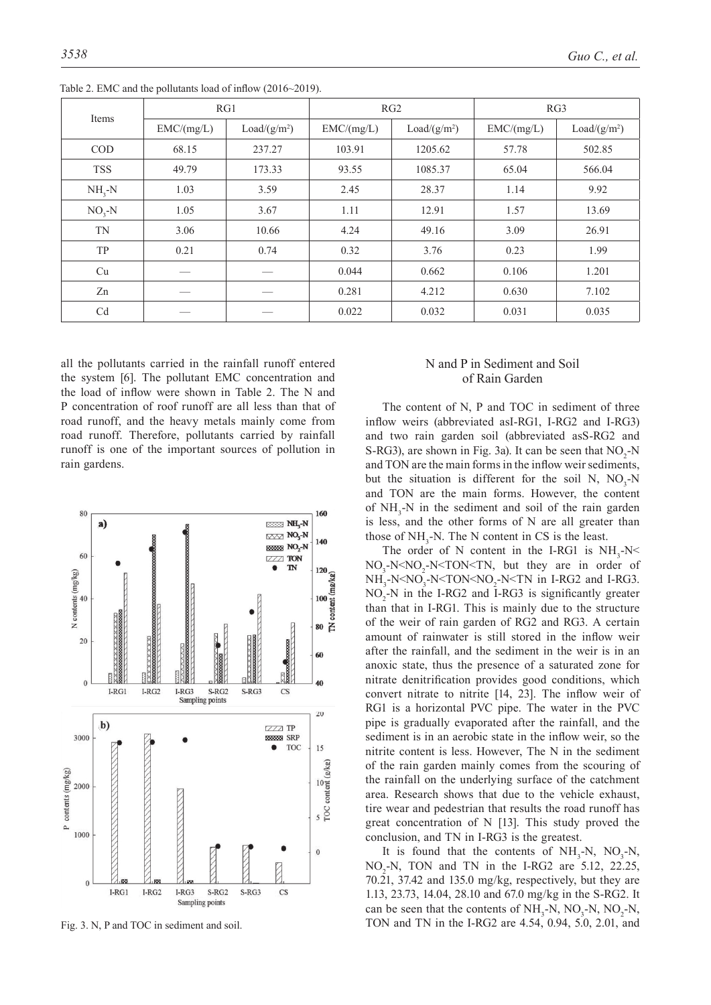|            | RG1        |                          |            | RG2                      | RG3        |                          |  |
|------------|------------|--------------------------|------------|--------------------------|------------|--------------------------|--|
| Items      | EMC/(mg/L) | Load/(g/m <sup>2</sup> ) | EMC/(mg/L) | Load/(g/m <sup>2</sup> ) | EMC/(mg/L) | Load/(g/m <sup>2</sup> ) |  |
| <b>COD</b> | 68.15      | 237.27                   | 103.91     | 1205.62                  | 57.78      | 502.85                   |  |
| <b>TSS</b> | 49.79      | 173.33                   | 93.55      | 1085.37                  | 65.04      | 566.04                   |  |
| $NH_{3}-N$ | 1.03       | 3.59                     | 2.45       | 28.37                    | 1.14       | 9.92                     |  |
| $NO3-N$    | 1.05       | 3.67                     | 1.11       | 12.91                    | 1.57       | 13.69                    |  |
| <b>TN</b>  | 3.06       | 10.66                    | 4.24       | 49.16                    | 3.09       | 26.91                    |  |
| <b>TP</b>  | 0.21       | 0.74                     | 0.32       | 3.76                     | 0.23       | 1.99                     |  |
| Cu         |            |                          | 0.044      | 0.662                    | 0.106      | 1.201                    |  |
| Zn         |            |                          | 0.281      | 4.212                    | 0.630      | 7.102                    |  |
| Cd         |            |                          | 0.022      | 0.032                    | 0.031      | 0.035                    |  |

Table 2. EMC and the pollutants load of inflow (2016~2019).

all the pollutants carried in the rainfall runoff entered the system [6]. The pollutant EMC concentration and the load of inflow were shown in Table 2. The N and P concentration of roof runoff are all less than that of road runoff, and the heavy metals mainly come from road runoff. Therefore, pollutants carried by rainfall runoff is one of the important sources of pollution in rain gardens.



## N and P in Sediment and Soil of Rain Garden

The content of N, P and TOC in sediment of three inflow weirs (abbreviated asI-RG1, I-RG2 and I-RG3) and two rain garden soil (abbreviated asS-RG2 and S-RG3), are shown in Fig. 3a). It can be seen that  $NO<sub>2</sub>-N$ and TON are the main forms in the inflow weir sediments, but the situation is different for the soil N,  $NO_3-N$ and TON are the main forms. However, the content of  $NH<sub>3</sub>-N$  in the sediment and soil of the rain garden is less, and the other forms of N are all greater than those of  $NH<sub>3</sub>-N$ . The N content in CS is the least.

The order of N content in the I-RG1 is  $NH_3-N<$  $NO_3$ -N<N $O_2$ -N<TON<TN, but they are in order of  $NH<sub>3</sub>-N3-N2-N in I-RG2 and I-RG3.$  $NO<sub>2</sub>$ -N in the I-RG2 and I-RG3 is significantly greater than that in I-RG1. This is mainly due to the structure of the weir of rain garden of RG2 and RG3. A certain amount of rainwater is still stored in the inflow weir after the rainfall, and the sediment in the weir is in an anoxic state, thus the presence of a saturated zone for nitrate denitrification provides good conditions, which convert nitrate to nitrite [14, 23]. The inflow weir of RG1 is a horizontal PVC pipe. The water in the PVC pipe is gradually evaporated after the rainfall, and the sediment is in an aerobic state in the inflow weir, so the nitrite content is less. However, The N in the sediment of the rain garden mainly comes from the scouring of the rainfall on the underlying surface of the catchment area. Research shows that due to the vehicle exhaust, tire wear and pedestrian that results the road runoff has great concentration of N [13]. This study proved the conclusion, and TN in I-RG3 is the greatest.

It is found that the contents of  $NH<sub>3</sub>-N$ ,  $NO<sub>3</sub>-N$ ,  $NO<sub>2</sub>-N$ , TON and TN in the I-RG2 are 5.12, 22.25, 70.21, 37.42 and 135.0 mg/kg, respectively, but they are 1.13, 23.73, 14.04, 28.10 and 67.0 mg/kg in the S-RG2. It can be seen that the contents of  $NH<sub>3</sub>-N$ ,  $NO<sub>3</sub>-N$ ,  $NO<sub>2</sub>-N$ , Fig. 3. N, P and TOC in sediment and soil. TON and TN in the I-RG2 are 4.54, 0.94, 5.0, 2.01, and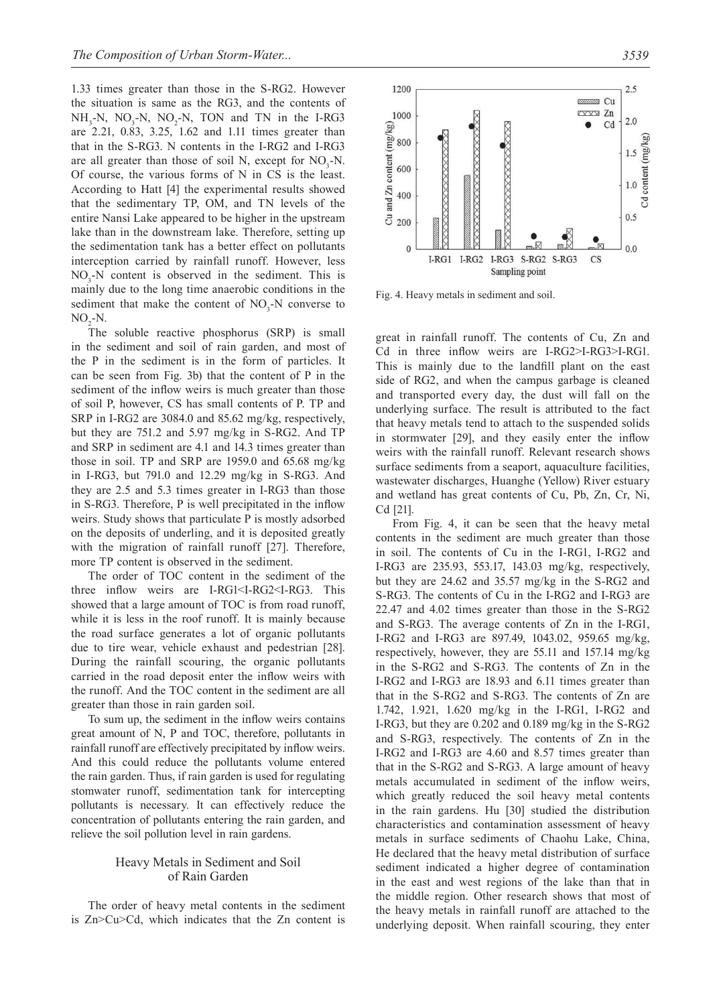1.33 times greater than those in the S-RG2. However the situation is same as the RG3, and the contents of  $NH<sub>3</sub>-N$ ,  $NO<sub>3</sub>-N$ ,  $NO<sub>2</sub>-N$ , TON and TN in the I-RG3 are 2.21, 0.83, 3.25, 1.62 and 1.11 times greater than that in the S-RG3. N contents in the I-RG2 and I-RG3 are all greater than those of soil N, except for  $NO<sub>3</sub>-N$ . Of course, the various forms of N in CS is the least. According to Hatt [4] the experimental results showed that the sedimentary TP, OM, and TN levels of the entire Nansi Lake appeared to be higher in the upstream lake than in the downstream lake. Therefore, setting up the sedimentation tank has a better effect on pollutants interception carried by rainfall runoff. However, less  $NO<sub>3</sub>$ -N content is observed in the sediment. This is mainly due to the long time anaerobic conditions in the sediment that make the content of  $NO<sub>3</sub>$ -N converse to  $NO<sub>2</sub>$ -N.

The soluble reactive phosphorus (SRP) is small in the sediment and soil of rain garden, and most of the P in the sediment is in the form of particles. It can be seen from Fig. 3b) that the content of P in the sediment of the inflow weirs is much greater than those of soil P, however, CS has small contents of P. TP and SRP in I-RG2 are 3084.0 and 85.62 mg/kg, respectively, but they are 751.2 and 5.97 mg/kg in S-RG2. And TP and SRP in sediment are 4.1 and 14.3 times greater than those in soil. TP and SRP are 1959.0 and 65.68 mg/kg in I-RG3, but 791.0 and 12.29 mg/kg in S-RG3. And they are 2.5 and 5.3 times greater in I-RG3 than those in S-RG3. Therefore, P is well precipitated in the inflow weirs. Study shows that particulate P is mostly adsorbed on the deposits of underling, and it is deposited greatly with the migration of rainfall runoff [27]. Therefore, more TP content is observed in the sediment.

The order of TOC content in the sediment of the three inflow weirs are I-RG1<I-RG2<I-RG3. This showed that a large amount of TOC is from road runoff, while it is less in the roof runoff. It is mainly because the road surface generates a lot of organic pollutants due to tire wear, vehicle exhaust and pedestrian [28]. During the rainfall scouring, the organic pollutants carried in the road deposit enter the inflow weirs with the runoff. And the TOC content in the sediment are all greater than those in rain garden soil.

To sum up, the sediment in the inflow weirs contains great amount of N, P and TOC, therefore, pollutants in rainfall runoff are effectively precipitated by inflow weirs. And this could reduce the pollutants volume entered the rain garden. Thus, if rain garden is used for regulating stomwater runoff, sedimentation tank for intercepting pollutants is necessary. It can effectively reduce the concentration of pollutants entering the rain garden, and relieve the soil pollution level in rain gardens.

## Heavy Metals in Sediment and Soil of Rain Garden

The order of heavy metal contents in the sediment is Zn>Cu>Cd, which indicates that the Zn content is



Fig. 4. Heavy metals in sediment and soil.

great in rainfall runoff. The contents of Cu, Zn and Cd in three inflow weirs are I-RG2>I-RG3>I-RG1. This is mainly due to the landfill plant on the east side of RG2, and when the campus garbage is cleaned and transported every day, the dust will fall on the underlying surface. The result is attributed to the fact that heavy metals tend to attach to the suspended solids in stormwater [29], and they easily enter the inflow weirs with the rainfall runoff. Relevant research shows surface sediments from a seaport, aquaculture facilities, wastewater discharges, Huanghe (Yellow) River estuary and wetland has great contents of Cu, Pb, Zn, Cr, Ni, Cd [21].

From Fig. 4, it can be seen that the heavy metal contents in the sediment are much greater than those in soil. The contents of Cu in the I-RG1, I-RG2 and I-RG3 are 235.93, 553.17, 143.03 mg/kg, respectively, but they are 24.62 and 35.57 mg/kg in the S-RG2 and S-RG3. The contents of Cu in the I-RG2 and I-RG3 are 22.47 and 4.02 times greater than those in the S-RG2 and S-RG3. The average contents of Zn in the I-RG1, I-RG2 and I-RG3 are 897.49, 1043.02, 959.65 mg/kg, respectively, however, they are 55.11 and 157.14 mg/kg in the S-RG2 and S-RG3. The contents of Zn in the I-RG2 and I-RG3 are 18.93 and 6.11 times greater than that in the S-RG2 and S-RG3. The contents of Zn are 1.742, 1.921, 1.620 mg/kg in the I-RG1, I-RG2 and I-RG3, but they are 0.202 and 0.189 mg/kg in the S-RG2 and S-RG3, respectively. The contents of Zn in the I-RG2 and I-RG3 are 4.60 and 8.57 times greater than that in the S-RG2 and S-RG3. A large amount of heavy metals accumulated in sediment of the inflow weirs, which greatly reduced the soil heavy metal contents in the rain gardens. Hu [30] studied the distribution characteristics and contamination assessment of heavy metals in surface sediments of Chaohu Lake, China, He declared that the heavy metal distribution of surface sediment indicated a higher degree of contamination in the east and west regions of the lake than that in the middle region. Other research shows that most of the heavy metals in rainfall runoff are attached to the underlying deposit. When rainfall scouring, they enter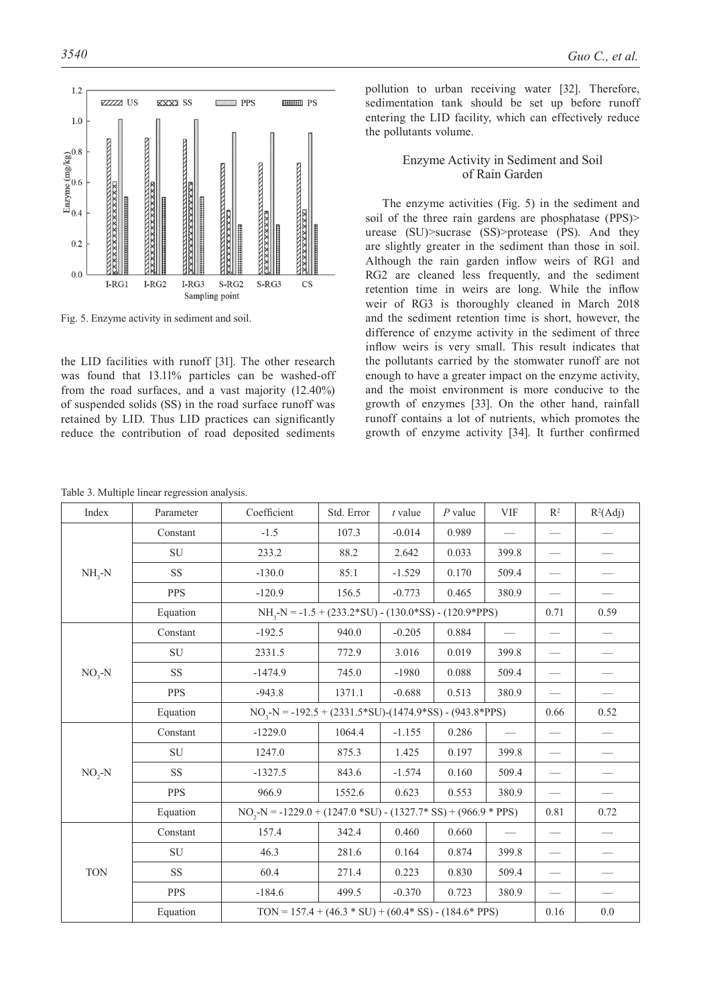

Fig. 5. Enzyme activity in sediment and soil.

the LID facilities with runoff [31]. The other research was found that 13.11% particles can be washed-off from the road surfaces, and a vast majority (12.40%) of suspended solids (SS) in the road surface runoff was retained by LID. Thus LID practices can significantly reduce the contribution of road deposited sediments pollution to urban receiving water [32]. Therefore, sedimentation tank should be set up before runoff entering the LID facility, which can effectively reduce the pollutants volume.

## Enzyme Activity in Sediment and Soil of Rain Garden

The enzyme activities (Fig. 5) in the sediment and soil of the three rain gardens are phosphatase (PPS) urease (SU)>sucrase (SS)>protease (PS). And they are slightly greater in the sediment than those in soil. Although the rain garden inflow weirs of RG1 and RG2 are cleaned less frequently, and the sediment retention time in weirs are long. While the inflow weir of RG3 is thoroughly cleaned in March 2018 and the sediment retention time is short, however, the difference of enzyme activity in the sediment of three inflow weirs is very small. This result indicates that the pollutants carried by the stomwater runoff are not enough to have a greater impact on the enzyme activity, and the moist environment is more conducive to the growth of enzymes [33]. On the other hand, rainfall runoff contains a lot of nutrients, which promotes the growth of enzyme activity [34]. It further confirmed

| Index      | Parameter  | Coefficient                                                       | Std. Error | $t$ value | $P$ value | <b>VIF</b> | $\mathbb{R}^2$                | $R^2(Adj)$ |
|------------|------------|-------------------------------------------------------------------|------------|-----------|-----------|------------|-------------------------------|------------|
|            | Constant   | $-1.5$                                                            | 107.3      | $-0.014$  | 0.989     |            |                               |            |
|            | <b>SU</b>  | 233.2                                                             | 88.2       | 2.642     | 0.033     | 399.8      | $\overbrace{\phantom{13333}}$ |            |
| $NH_{3}-N$ | <b>SS</b>  | $-130.0$                                                          | 85.1       | $-1.529$  | 0.170     | 509.4      |                               |            |
|            | <b>PPS</b> | $-120.9$                                                          | 156.5      | $-0.773$  | 0.465     | 380.9      |                               |            |
|            | Equation   | $NH3-N = -1.5 + (233.2*SU) - (130.0*SS) - (120.9*PPS)$            | 0.71       | 0.59      |           |            |                               |            |
|            | Constant   | $-192.5$                                                          | 940.0      | $-0.205$  | 0.884     |            | $\overline{\phantom{0}}$      |            |
|            | <b>SU</b>  | 2331.5                                                            | 772.9      | 3.016     | 0.019     | 399.8      | $\qquad \qquad$               |            |
| $NO3-N$    | <b>SS</b>  | $-1474.9$                                                         | 745.0      | $-1980$   | 0.088     | 509.4      |                               |            |
|            | <b>PPS</b> | $-943.8$                                                          | 1371.1     | $-0.688$  | 0.513     | 380.9      |                               |            |
|            | Equation   | $NO3-N = -192.5 + (2331.5*SU) - (1474.9*SS) - (943.8*PPS)$        |            |           |           |            |                               | 0.52       |
|            | Constant   | $-1229.0$                                                         | 1064.4     | $-1.155$  | 0.286     |            | $\qquad \qquad$               |            |
|            | SU         | 1247.0                                                            | 875.3      | 1.425     | 0.197     | 399.8      | $\qquad \qquad$               |            |
| $NO, -N$   | <b>SS</b>  | $-1327.5$                                                         | 843.6      | $-1.574$  | 0.160     | 509.4      | $\overbrace{\phantom{13333}}$ |            |
|            | <b>PPS</b> | 966.9                                                             | 1552.6     | 0.623     | 0.553     | 380.9      |                               |            |
|            | Equation   | $NO2-N = -1229.0 + (1247.0 * SU) - (1327.7 * SS) + (966.9 * PPS)$ | 0.81       | 0.72      |           |            |                               |            |
|            | Constant   | 157.4                                                             | 342.4      | 0.460     | 0.660     |            |                               |            |
|            | SU         | 46.3                                                              | 281.6      | 0.164     | 0.874     | 399.8      | $\qquad \qquad$               |            |
| <b>TON</b> | <b>SS</b>  | 60.4                                                              | 271.4      | 0.223     | 0.830     | 509.4      |                               |            |
|            | <b>PPS</b> | $-184.6$                                                          | 499.5      | $-0.370$  | 0.723     | 380.9      |                               |            |
|            | Equation   | TON = $157.4 + (46.3 * SU) + (60.4 * SS) - (184.6 * PPS)$         |            |           |           |            |                               | $0.0\,$    |

Table 3. Multiple linear regression analysis.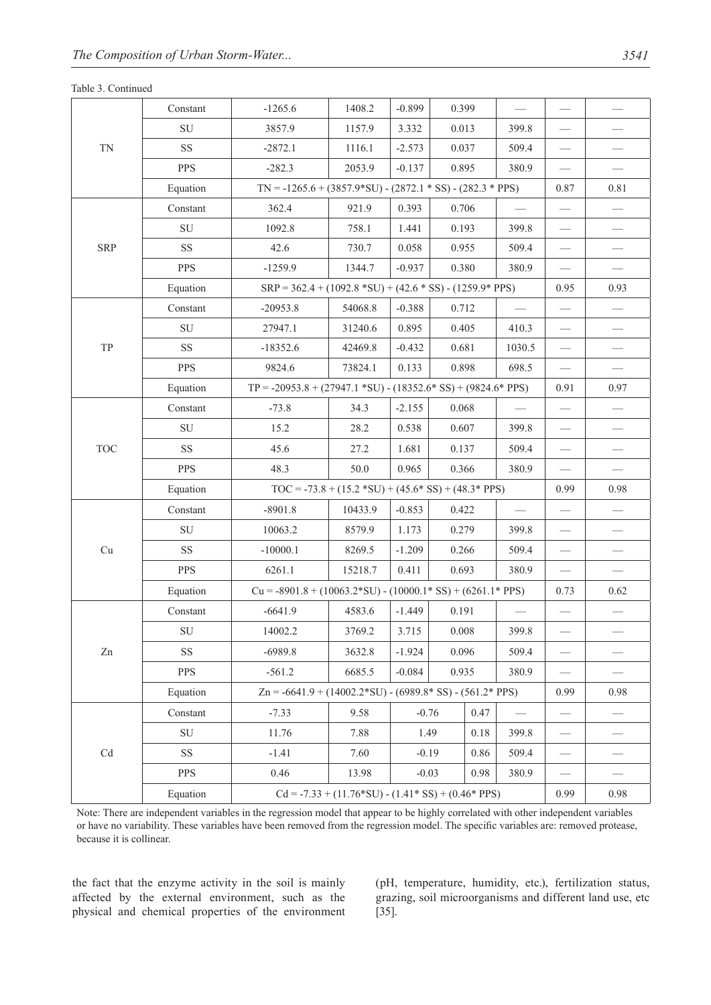## Table 3. Continued

| <b>TN</b>                   | Constant   | $-1265.6$                                                          | 1408.2                                             | $-0.899$                                                        | 0.399           |      |        |                          |      |
|-----------------------------|------------|--------------------------------------------------------------------|----------------------------------------------------|-----------------------------------------------------------------|-----------------|------|--------|--------------------------|------|
|                             | ${\rm SU}$ | 3857.9                                                             | 1157.9                                             | 3.332                                                           | 0.013           |      | 399.8  |                          |      |
|                             | <b>SS</b>  | $-2872.1$                                                          | 1116.1                                             | $-2.573$                                                        | 0.037           |      | 509.4  |                          |      |
|                             | <b>PPS</b> | $-282.3$                                                           | 2053.9                                             | $-0.137$                                                        | 0.895           |      | 380.9  |                          |      |
|                             | Equation   | $TN = -1265.6 + (3857.9*SU) - (2872.1*SS) - (282.3*PPS)$           |                                                    | 0.87                                                            | 0.81            |      |        |                          |      |
|                             | Constant   | 362.4                                                              | 921.9                                              | 0.393                                                           | 0.706           |      |        |                          |      |
|                             | ${\rm SU}$ | 1092.8                                                             | 758.1                                              | 1.441                                                           | 0.193           |      | 399.8  |                          |      |
| <b>SRP</b>                  | <b>SS</b>  | 42.6                                                               | 730.7                                              | 0.058                                                           | 0.955           |      | 509.4  |                          |      |
|                             | <b>PPS</b> | $-1259.9$                                                          | 1344.7                                             | $-0.937$                                                        | 0.380           |      | 380.9  | $\overline{\phantom{0}}$ |      |
|                             | Equation   | $SRP = 362.4 + (1092.8 * SU) + (42.6 * SS) - (1259.9 * PPS)$       | 0.95                                               | 0.93                                                            |                 |      |        |                          |      |
|                             | Constant   | $-20953.8$                                                         | 54068.8                                            | $-0.388$                                                        | 0.712           |      |        |                          |      |
|                             | ${\rm SU}$ | 27947.1                                                            | 31240.6                                            | 0.895                                                           | 0.405           |      | 410.3  |                          |      |
| TP                          | SS         | $-18352.6$                                                         | 42469.8                                            | $-0.432$                                                        | 0.681           |      | 1030.5 |                          |      |
|                             | <b>PPS</b> | 9824.6                                                             | 73824.1                                            | 0.133                                                           | 0.898           |      | 698.5  |                          |      |
|                             | Equation   | $TP = -20953.8 + (27947.1 * SU) - (18352.6 * SS) + (9824.6 * PPS)$ |                                                    |                                                                 |                 |      |        |                          | 0.97 |
|                             | Constant   | $-73.8$                                                            | 34.3                                               | $-2.155$                                                        | 0.068           |      |        |                          |      |
|                             | ${\rm SU}$ | 15.2                                                               | 28.2                                               | 0.538                                                           | 0.607           |      | 399.8  |                          |      |
| <b>TOC</b>                  | <b>SS</b>  | 45.6                                                               | 27.2                                               | 1.681                                                           | 0.137           |      | 509.4  |                          |      |
|                             | <b>PPS</b> | 48.3                                                               | 50.0                                               | 0.965                                                           | 0.366           |      | 380.9  |                          |      |
|                             | Equation   | $TOC = -73.8 + (15.2 * SU) + (45.6 * SS) + (48.3 * PPS)$           |                                                    |                                                                 |                 |      |        |                          | 0.98 |
|                             | Constant   | $-8901.8$                                                          | 10433.9                                            | $-0.853$                                                        | 0.422           |      |        |                          |      |
|                             | ${\rm SU}$ | 10063.2                                                            | 8579.9                                             | 1.173                                                           | 0.279           |      | 399.8  |                          |      |
| Cu                          | SS         | $-10000.1$                                                         | 8269.5                                             | $-1.209$                                                        | 0.266           |      | 509.4  |                          |      |
|                             | <b>PPS</b> | 6261.1                                                             | 15218.7                                            | 0.411                                                           | 0.693           |      | 380.9  |                          |      |
|                             | Equation   |                                                                    |                                                    | $Cu = -8901.8 + (10063.2*SU) - (10000.1*SS) + (6261.1*PPS)$     |                 |      |        | 0.73                     | 0.62 |
|                             | Constant   | $-6641.9$                                                          | 4583.6                                             | $-1.449$                                                        | 0.191           |      |        |                          |      |
|                             | ${\rm SU}$ | 14002.2                                                            | 3769.2                                             | 3.715                                                           | 0.008           |      | 399.8  |                          |      |
| Zn                          | <b>SS</b>  | $-6989.8$                                                          | 3632.8                                             | $-1.924$                                                        | 0.096           |      | 509.4  |                          |      |
|                             | <b>PPS</b> | $-561.2$                                                           | 6685.5                                             | $-0.084$                                                        | 0.935           |      | 380.9  |                          |      |
|                             | Equation   |                                                                    |                                                    | $Zn = -6641.9 + (14002.2 * SU) - (6989.8 * SS) - (561.2 * PPS)$ |                 |      | 0.99   | 0.98                     |      |
|                             | Constant   | $-7.33$                                                            | 9.58                                               |                                                                 | $-0.76$<br>0.47 |      |        |                          |      |
|                             | ${\rm SU}$ | 11.76                                                              | 7.88                                               | 1.49                                                            |                 | 0.18 | 399.8  |                          |      |
| $\ensuremath{\mathrm{C}} d$ | <b>SS</b>  | $-1.41$                                                            | 7.60                                               |                                                                 | $-0.19$<br>0.86 |      | 509.4  |                          |      |
|                             | <b>PPS</b> | 0.46                                                               | 13.98                                              | $-0.03$<br>0.98                                                 |                 |      | 380.9  |                          |      |
|                             | Equation   |                                                                    | $Cd = -7.33 + (11.76*SU) - (1.41*SS) + (0.46*PPS)$ |                                                                 |                 |      |        | 0.99                     | 0.98 |
|                             |            |                                                                    |                                                    |                                                                 |                 |      |        |                          |      |

Note: There are independent variables in the regression model that appear to be highly correlated with other independent variables or have no variability. These variables have been removed from the regression model. The specific variables are: removed protease, because it is collinear.

the fact that the enzyme activity in the soil is mainly affected by the external environment, such as the physical and chemical properties of the environment (pH, temperature, humidity, etc.), fertilization status, grazing, soil microorganisms and different land use, etc [35].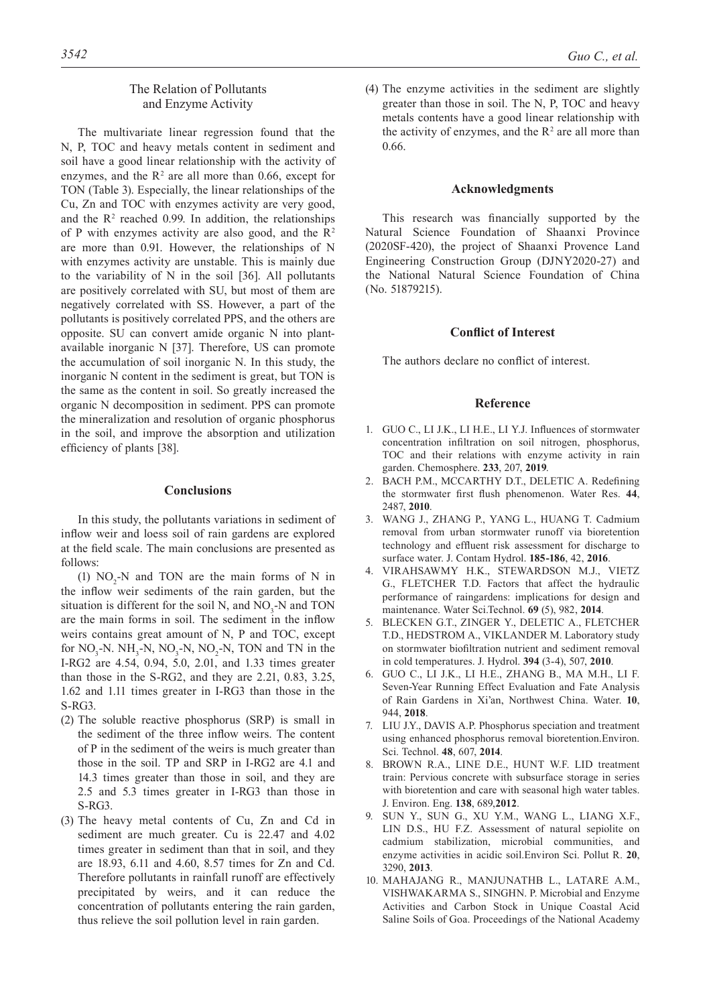# The Relation of Pollutants and Enzyme Activity

The multivariate linear regression found that the N, P, TOC and heavy metals content in sediment and soil have a good linear relationship with the activity of enzymes, and the  $R<sup>2</sup>$  are all more than 0.66, except for TON (Table 3). Especially, the linear relationships of the Cu, Zn and TOC with enzymes activity are very good, and the  $\mathbb{R}^2$  reached 0.99. In addition, the relationships of P with enzymes activity are also good, and the  $\mathbb{R}^2$ are more than 0.91. However, the relationships of N with enzymes activity are unstable. This is mainly due to the variability of N in the soil [36]. All pollutants are positively correlated with SU, but most of them are negatively correlated with SS. However, a part of the pollutants is positively correlated PPS, and the others are opposite. SU can convert amide organic N into plantavailable inorganic N [37]. Therefore, US can promote the accumulation of soil inorganic N. In this study, the inorganic N content in the sediment is great, but TON is the same as the content in soil. So greatly increased the organic N decomposition in sediment. PPS can promote the mineralization and resolution of organic phosphorus in the soil, and improve the absorption and utilization efficiency of plants [38].

## **Conclusions**

In this study, the pollutants variations in sediment of inflow weir and loess soil of rain gardens are explored at the field scale. The main conclusions are presented as follows:

(1)  $NO<sub>2</sub>-N$  and TON are the main forms of N in the inflow weir sediments of the rain garden, but the situation is different for the soil N, and  $NO<sub>3</sub>$ -N and TON are the main forms in soil. The sediment in the inflow weirs contains great amount of N, P and TOC, except for  $NO_3$ -N.  $NH_3$ -N,  $NO_3$ -N,  $NO_2$ -N, TON and TN in the I-RG2 are 4.54, 0.94, 5.0, 2.01, and 1.33 times greater than those in the S-RG2, and they are 2.21, 0.83, 3.25, 1.62 and 1.11 times greater in I-RG3 than those in the S-RG3.

- (2) The soluble reactive phosphorus (SRP) is small in the sediment of the three inflow weirs. The content of P in the sediment of the weirs is much greater than those in the soil. TP and SRP in I-RG2 are 4.1 and 14.3 times greater than those in soil, and they are 2.5 and 5.3 times greater in I-RG3 than those in S-RG3.
- (3) The heavy metal contents of Cu, Zn and Cd in sediment are much greater. Cu is 22.47 and 4.02 times greater in sediment than that in soil, and they are 18.93, 6.11 and 4.60, 8.57 times for Zn and Cd. Therefore pollutants in rainfall runoff are effectively precipitated by weirs, and it can reduce the concentration of pollutants entering the rain garden, thus relieve the soil pollution level in rain garden.

(4) The enzyme activities in the sediment are slightly greater than those in soil. The N, P, TOC and heavy metals contents have a good linear relationship with the activity of enzymes, and the  $R<sup>2</sup>$  are all more than 0.66.

#### **Acknowledgments**

This research was financially supported by the Natural Science Foundation of Shaanxi Province (2020SF-420), the project of Shaanxi Provence Land Engineering Construction Group (DJNY2020-27) and the National Natural Science Foundation of China (No. 51879215).

#### **Conflict of Interest**

The authors declare no conflict of interest.

#### **Reference**

- 1. GUO C., LI J.K., LI H.E., LI Y.J. Influences of stormwater concentration infiltration on soil nitrogen, phosphorus, TOC and their relations with enzyme activity in rain garden. Chemosphere. **233**, 207, **2019**.
- 2. BACH P.M., MCCARTHY D.T., DELETIC A. Redefining the stormwater first flush phenomenon. Water Res. **44**, 2487, **2010**.
- 3. WANG J., ZHANG P., YANG L., HUANG T. Cadmium removal from urban stormwater runoff via bioretention technology and effluent risk assessment for discharge to surface water. J. Contam Hydrol. **185-186**, 42, **2016**.
- 4. VIRAHSAWMY H.K., STEWARDSON M.J., VIETZ G., FLETCHER T.D. Factors that affect the hydraulic performance of raingardens: implications for design and maintenance. Water Sci.Technol. **69** (5), 982, **2014**.
- 5. BLECKEN G.T., ZINGER Y., DELETIC A., FLETCHER T.D., HEDSTROM A., VIKLANDER M. Laboratory study on stormwater biofiltration nutrient and sediment removal in cold temperatures. J. Hydrol. **394** (3-4), 507, **2010**.
- 6. GUO C., LI J.K., LI H.E., ZHANG B., MA M.H., LI F. Seven-Year Running Effect Evaluation and Fate Analysis of Rain Gardens in Xi'an, Northwest China. Water. **10**, 944, **2018**.
- 7. LIU J.Y., DAVIS A.P. Phosphorus speciation and treatment using enhanced phosphorus removal bioretention.Environ. Sci. Technol. **48**, 607, **2014**.
- 8. BROWN R.A., LINE D.E., HUNT W.F. LID treatment train: Pervious concrete with subsurface storage in series with bioretention and care with seasonal high water tables. J. Environ. Eng. **138**, 689,**2012**.
- 9. SUN Y., SUN G., XU Y.M., WANG L., LIANG X.F., LIN D.S., HU F.Z. Assessment of natural sepiolite on cadmium stabilization, microbial communities, and enzyme activities in acidic soil.Environ Sci. Pollut R. **20**, 3290, **2013**.
- 10. MAHAJANG R., MANJUNATHB L., LATARE A.M., VISHWAKARMA S., SINGHN. P. Microbial and Enzyme Activities and Carbon Stock in Unique Coastal Acid Saline Soils of Goa. Proceedings of the National Academy